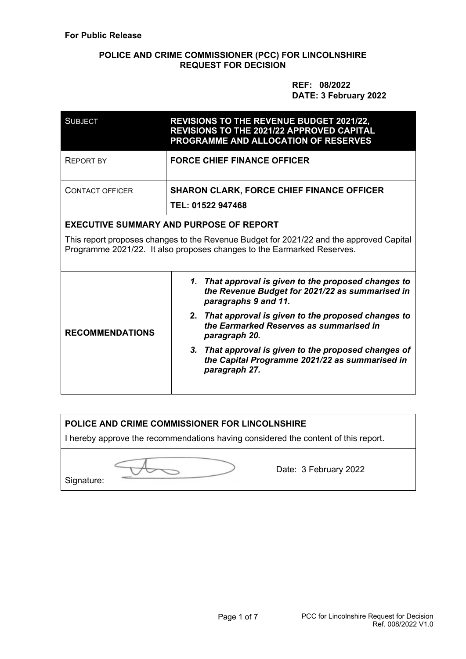### **POLICE AND CRIME COMMISSIONER (PCC) FOR LINCOLNSHIRE REQUEST FOR DECISION**

 **REF: 08/2022 DATE: 3 February 2022** 

| <b>SUBJECT</b>         | <b>REVISIONS TO THE REVENUE BUDGET 2021/22,</b><br><b>REVISIONS TO THE 2021/22 APPROVED CAPITAL</b><br>PROGRAMME AND ALLOCATION OF RESERVES                       |  |  |
|------------------------|-------------------------------------------------------------------------------------------------------------------------------------------------------------------|--|--|
| <b>REPORT BY</b>       | <b>FORCE CHIEF FINANCE OFFICER</b>                                                                                                                                |  |  |
| <b>CONTACT OFFICER</b> | <b>SHARON CLARK, FORCE CHIEF FINANCE OFFICER</b><br>TEL: 01522 947468                                                                                             |  |  |
|                        | <b>EXECUTIVE SUMMARY AND PURPOSE OF REPORT</b>                                                                                                                    |  |  |
|                        | This report proposes changes to the Revenue Budget for 2021/22 and the approved Capital<br>Programme 2021/22. It also proposes changes to the Earmarked Reserves. |  |  |
| <b>RECOMMENDATIONS</b> | That approval is given to the proposed changes to<br>1.<br>the Revenue Budget for 2021/22 as summarised in<br>paragraphs 9 and 11.                                |  |  |
|                        | 2. That approval is given to the proposed changes to<br>the Earmarked Reserves as summarised in<br>paragraph 20.                                                  |  |  |
|                        | 3. That approval is given to the proposed changes of<br>the Capital Programme 2021/22 as summarised in<br>paragraph 27.                                           |  |  |

# **POLICE AND CRIME COMMISSIONER FOR LINCOLNSHIRE**

I hereby approve the recommendations having considered the content of this report.

Signature:

Date: 3 February 2022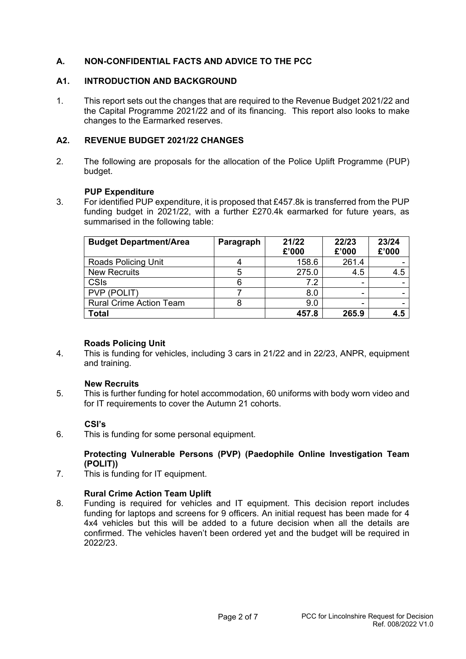### **A. NON-CONFIDENTIAL FACTS AND ADVICE TO THE PCC**

### **A1. INTRODUCTION AND BACKGROUND**

1. This report sets out the changes that are required to the Revenue Budget 2021/22 and the Capital Programme 2021/22 and of its financing. This report also looks to make changes to the Earmarked reserves.

### **A2. REVENUE BUDGET 2021/22 CHANGES**

2. The following are proposals for the allocation of the Police Uplift Programme (PUP) budget.

#### **PUP Expenditure**

3. For identified PUP expenditure, it is proposed that £457.8k is transferred from the PUP funding budget in 2021/22, with a further £270.4k earmarked for future years, as summarised in the following table:

| <b>Budget Department/Area</b>  | Paragraph | 21/22 | 22/23 | 23/24 |
|--------------------------------|-----------|-------|-------|-------|
|                                |           | £'000 | £'000 | £'000 |
| <b>Roads Policing Unit</b>     |           | 158.6 | 261.4 |       |
| <b>New Recruits</b>            |           | 275.0 | 4.5   | 4.5   |
| <b>CSIs</b>                    |           | 7.2   |       |       |
| PVP (POLIT)                    |           | 8.0   |       |       |
| <b>Rural Crime Action Team</b> |           | 9.0   |       |       |
| <b>Total</b>                   |           | 457.8 | 265.9 | 4.5   |

#### **Roads Policing Unit**

4. This is funding for vehicles, including 3 cars in 21/22 and in 22/23, ANPR, equipment and training.

#### **New Recruits**

5. This is further funding for hotel accommodation, 60 uniforms with body worn video and for IT requirements to cover the Autumn 21 cohorts.

#### **CSI's**

6. This is funding for some personal equipment.

#### **Protecting Vulnerable Persons (PVP) (Paedophile Online Investigation Team (POLIT))**

7. This is funding for IT equipment.

#### **Rural Crime Action Team Uplift**

8. Funding is required for vehicles and IT equipment. This decision report includes funding for laptops and screens for 9 officers. An initial request has been made for 4 4x4 vehicles but this will be added to a future decision when all the details are confirmed. The vehicles haven't been ordered yet and the budget will be required in 2022/23.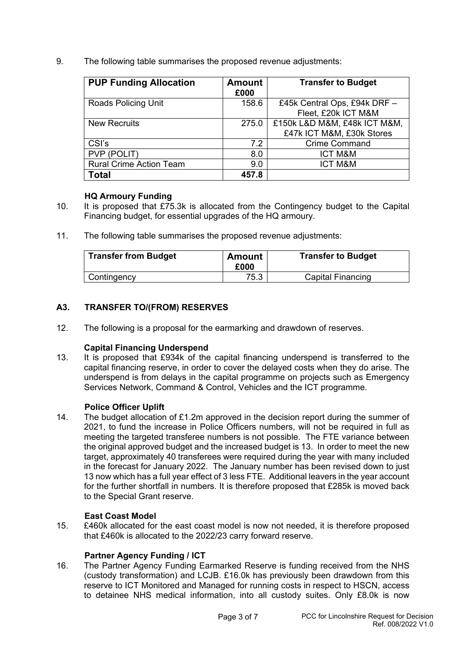9. The following table summarises the proposed revenue adjustments:

| <b>PUP Funding Allocation</b>  | <b>Amount</b><br>£000 | <b>Transfer to Budget</b>    |
|--------------------------------|-----------------------|------------------------------|
| <b>Roads Policing Unit</b>     | 158.6                 | £45k Central Ops, £94k DRF - |
|                                |                       | Fleet, £20k ICT M&M          |
| <b>New Recruits</b>            | 275.0                 | £150k L&D M&M, £48k ICT M&M, |
|                                |                       | £47k ICT M&M, £30k Stores    |
| CSI's                          | 7.2                   | <b>Crime Command</b>         |
| PVP (POLIT)                    | 8.0                   | <b>ICT M&amp;M</b>           |
| <b>Rural Crime Action Team</b> | 9.0                   | <b>ICT M&amp;M</b>           |
| Total                          | 457.8                 |                              |

#### **HQ Armoury Funding**

- 10. It is proposed that £75.3k is allocated from the Contingency budget to the Capital Financing budget, for essential upgrades of the HQ armoury.
- 11. The following table summarises the proposed revenue adjustments:

| <b>Transfer from Budget</b> | <b>Amount</b><br>£000 | <b>Transfer to Budget</b> |
|-----------------------------|-----------------------|---------------------------|
| Contingency                 | 75.3                  | <b>Capital Financing</b>  |

# **A3. TRANSFER TO/(FROM) RESERVES**

12. The following is a proposal for the earmarking and drawdown of reserves.

# **Capital Financing Underspend**

13. It is proposed that £934k of the capital financing underspend is transferred to the capital financing reserve, in order to cover the delayed costs when they do arise. The underspend is from delays in the capital programme on projects such as Emergency Services Network, Command & Control, Vehicles and the ICT programme.

# **Police Officer Uplift**

14. The budget allocation of £1.2m approved in the decision report during the summer of 2021, to fund the increase in Police Officers numbers, will not be required in full as meeting the targeted transferee numbers is not possible. The FTE variance between the original approved budget and the increased budget is 13. In order to meet the new target, approximately 40 transferees were required during the year with many included in the forecast for January 2022. The January number has been revised down to just 13 now which has a full year effect of 3 less FTE. Additional leavers in the year account for the further shortfall in numbers. It is therefore proposed that £285k is moved back to the Special Grant reserve.

# **East Coast Model**

15. £460k allocated for the east coast model is now not needed, it is therefore proposed that £460k is allocated to the 2022/23 carry forward reserve.

#### **Partner Agency Funding / ICT**

16. The Partner Agency Funding Earmarked Reserve is funding received from the NHS (custody transformation) and LCJB. £16.0k has previously been drawdown from this reserve to ICT Monitored and Managed for running costs in respect to HSCN, access to detainee NHS medical information, into all custody suites. Only £8.0k is now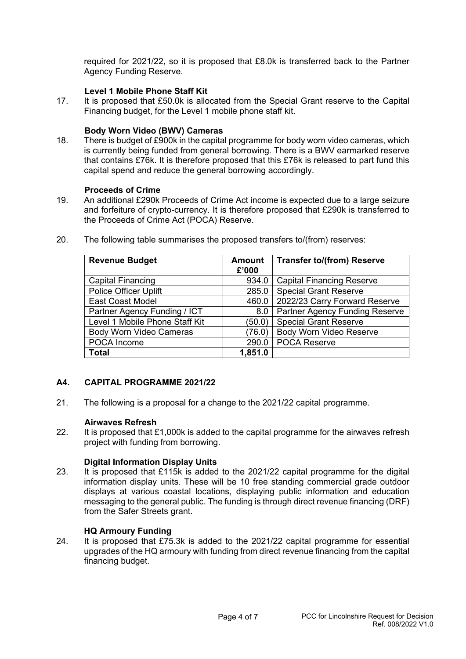required for 2021/22, so it is proposed that £8.0k is transferred back to the Partner Agency Funding Reserve.

### **Level 1 Mobile Phone Staff Kit**

17. It is proposed that £50.0k is allocated from the Special Grant reserve to the Capital Financing budget, for the Level 1 mobile phone staff kit.

#### **Body Worn Video (BWV) Cameras**

18. There is budget of £900k in the capital programme for body worn video cameras, which is currently being funded from general borrowing. There is a BWV earmarked reserve that contains £76k. It is therefore proposed that this £76k is released to part fund this capital spend and reduce the general borrowing accordingly.

#### **Proceeds of Crime**

19. An additional £290k Proceeds of Crime Act income is expected due to a large seizure and forfeiture of crypto-currency. It is therefore proposed that £290k is transferred to the Proceeds of Crime Act (POCA) Reserve.

| <b>Revenue Budget</b>          | <b>Amount</b><br>£'000 | <b>Transfer to/(from) Reserve</b>     |
|--------------------------------|------------------------|---------------------------------------|
| <b>Capital Financing</b>       | 934.0                  | <b>Capital Financing Reserve</b>      |
| <b>Police Officer Uplift</b>   | 285.0                  | <b>Special Grant Reserve</b>          |
| <b>East Coast Model</b>        | 460.0                  | 2022/23 Carry Forward Reserve         |
| Partner Agency Funding / ICT   | 8.0                    | <b>Partner Agency Funding Reserve</b> |
| Level 1 Mobile Phone Staff Kit | (50.0)                 | <b>Special Grant Reserve</b>          |
| <b>Body Worn Video Cameras</b> | (76.0)                 | <b>Body Worn Video Reserve</b>        |
| POCA Income                    | 290.0                  | <b>POCA Reserve</b>                   |
| Total                          | 1,851.0                |                                       |

20. The following table summarises the proposed transfers to/(from) reserves:

#### **A4. CAPITAL PROGRAMME 2021/22**

21. The following is a proposal for a change to the 2021/22 capital programme.

#### **Airwaves Refresh**

22. It is proposed that £1,000k is added to the capital programme for the airwaves refresh project with funding from borrowing.

#### **Digital Information Display Units**

23. It is proposed that £115k is added to the 2021/22 capital programme for the digital information display units. These will be 10 free standing commercial grade outdoor displays at various coastal locations, displaying public information and education messaging to the general public. The funding is through direct revenue financing (DRF) from the Safer Streets grant.

#### **HQ Armoury Funding**

24. It is proposed that £75.3k is added to the 2021/22 capital programme for essential upgrades of the HQ armoury with funding from direct revenue financing from the capital financing budget.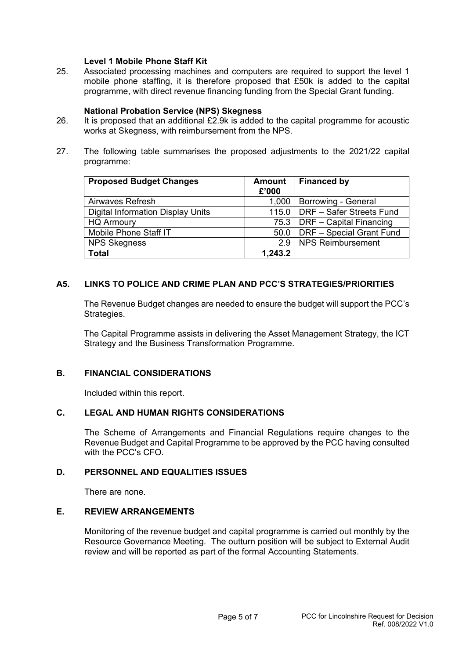#### **Level 1 Mobile Phone Staff Kit**

25. Associated processing machines and computers are required to support the level 1 mobile phone staffing, it is therefore proposed that £50k is added to the capital programme, with direct revenue financing funding from the Special Grant funding.

#### **National Probation Service (NPS) Skegness**

- 26. It is proposed that an additional £2.9k is added to the capital programme for acoustic works at Skegness, with reimbursement from the NPS.
- 27. The following table summarises the proposed adjustments to the 2021/22 capital programme:

| <b>Proposed Budget Changes</b>           | Amount<br>£'000 | <b>Financed by</b>              |
|------------------------------------------|-----------------|---------------------------------|
| Airwaves Refresh                         | 1,000           | <b>Borrowing - General</b>      |
| <b>Digital Information Display Units</b> |                 | 115.0 DRF - Safer Streets Fund  |
| <b>HQ Armoury</b>                        |                 | 75.3   DRF - Capital Financing  |
| Mobile Phone Staff IT                    |                 | 50.0   DRF - Special Grant Fund |
| <b>NPS Skegness</b>                      | 2.9             | NPS Reimbursement               |
| <b>Total</b>                             | 1,243.2         |                                 |

### **A5. LINKS TO POLICE AND CRIME PLAN AND PCC'S STRATEGIES/PRIORITIES**

 The Revenue Budget changes are needed to ensure the budget will support the PCC's Strategies.

The Capital Programme assists in delivering the Asset Management Strategy, the ICT Strategy and the Business Transformation Programme.

### **B. FINANCIAL CONSIDERATIONS**

Included within this report.

### **C. LEGAL AND HUMAN RIGHTS CONSIDERATIONS**

The Scheme of Arrangements and Financial Regulations require changes to the Revenue Budget and Capital Programme to be approved by the PCC having consulted with the PCC's CFO.

### **D. PERSONNEL AND EQUALITIES ISSUES**

There are none.

# **E. REVIEW ARRANGEMENTS**

Monitoring of the revenue budget and capital programme is carried out monthly by the Resource Governance Meeting. The outturn position will be subject to External Audit review and will be reported as part of the formal Accounting Statements.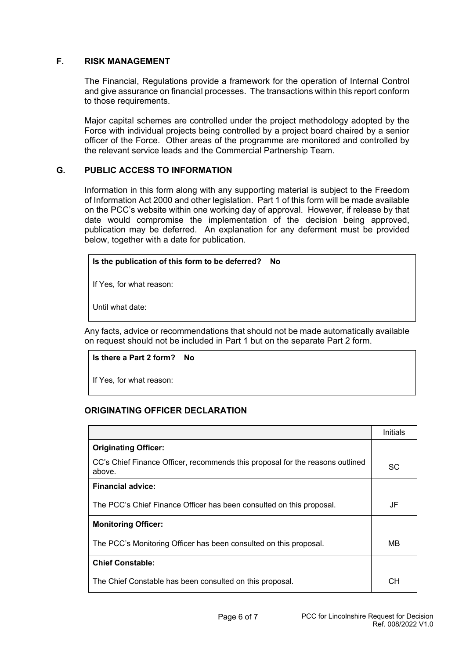#### **F. RISK MANAGEMENT**

The Financial, Regulations provide a framework for the operation of Internal Control and give assurance on financial processes. The transactions within this report conform to those requirements.

Major capital schemes are controlled under the project methodology adopted by the Force with individual projects being controlled by a project board chaired by a senior officer of the Force. Other areas of the programme are monitored and controlled by the relevant service leads and the Commercial Partnership Team.

#### **G. PUBLIC ACCESS TO INFORMATION**

Information in this form along with any supporting material is subject to the Freedom of Information Act 2000 and other legislation. Part 1 of this form will be made available on the PCC's website within one working day of approval. However, if release by that date would compromise the implementation of the decision being approved, publication may be deferred. An explanation for any deferment must be provided below, together with a date for publication.

#### **Is the publication of this form to be deferred? No**

If Yes, for what reason:

Until what date:

Any facts, advice or recommendations that should not be made automatically available on request should not be included in Part 1 but on the separate Part 2 form.

#### **Is there a Part 2 form? No**

If Yes, for what reason:

#### **ORIGINATING OFFICER DECLARATION**

|                                                                                         | Initials |
|-----------------------------------------------------------------------------------------|----------|
| <b>Originating Officer:</b>                                                             |          |
| CC's Chief Finance Officer, recommends this proposal for the reasons outlined<br>above. | SC       |
| <b>Financial advice:</b>                                                                |          |
| The PCC's Chief Finance Officer has been consulted on this proposal.                    | JF       |
| <b>Monitoring Officer:</b>                                                              |          |
| The PCC's Monitoring Officer has been consulted on this proposal.                       | MВ       |
| <b>Chief Constable:</b>                                                                 |          |
| The Chief Constable has been consulted on this proposal.                                | CН       |